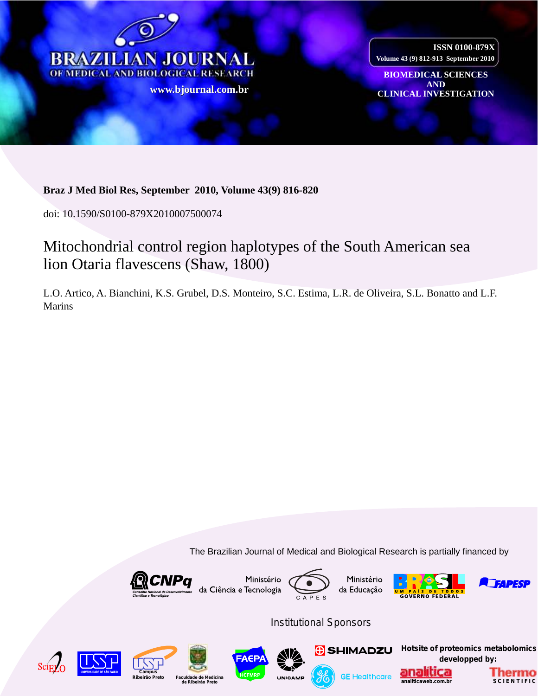

**ISSN 0100-879X Volume 43 (9) 812-913 September 2010**

**BIOMEDICAL SCIENCES AND www CLINICAL INVESTIGATION [.bjournal.com.b](http://www.scielo.br/scielo.php?script=sci_arttext&pid=S0100-879X2009001200016&lng=en&nrm=iso)[r](http://www.bjournal.com.br/)**

### **Braz J Med Biol Res, September 2010, Volume 43(9) 816-820**

doi: 10.1590/S0100-879X2010007500074

## Mitochondrial control region haplotypes of the South American sea lion Otaria flavescens (Shaw, 1800)

L.O. Artico, A. Bianchini, K.S. Grubel, D.S. Monteiro, S.C. Estima, L.R. de Oliveira, S.L. Bonatto and L.F. Marins

The Brazilian Journal of Medical and Biological Research is partially financed by











*Institutional Sponsors*













**[Hotsite of proteomics metabolomics](http://www.analiticaweb.com.br/emarketing/proteomics) developped by:**



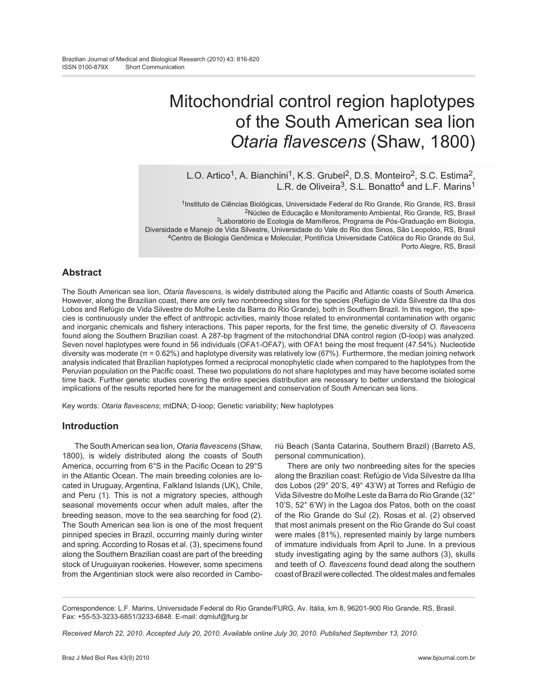# Mitochondrial control region haplotypes of the South American sea lion *Otaria flavescens* (Shaw, 1800)

L.O. Artico<sup>1</sup>, A. Bianchini<sup>1</sup>, K.S. Grubel<sup>2</sup>, D.S. Monteiro<sup>2</sup>, S.C. Estima<sup>2</sup>, L.R. de Oliveira<sup>3</sup>, S.L. Bonatto<sup>4</sup> and L.F. Marins<sup>1</sup>

1Instituto de Ciências Biológicas, Universidade Federal do Rio Grande, Rio Grande, RS, Brasil 2Núcleo de Educação e Monitoramento Ambiental, Rio Grande, RS, Brasil 3Laboratório de Ecologia de Mamíferos, Programa de Pós-Graduação em Biologia, Diversidade e Manejo de Vida Silvestre, Universidade do Vale do Rio dos Sinos, São Leopoldo, RS, Brasil 4Centro de Biologia Genômica e Molecular, Pontifícia Universidade Católica do Rio Grande do Sul, Porto Alegre, RS, Brasil

#### **Abstract**

The South American sea lion, *Otaria flavescens*, is widely distributed along the Pacific and Atlantic coasts of South America. However, along the Brazilian coast, there are only two nonbreeding sites for the species (Refúgio de Vida Silvestre da Ilha dos Lobos and Refúgio de Vida Silvestre do Molhe Leste da Barra do Rio Grande), both in Southern Brazil. In this region, the species is continuously under the effect of anthropic activities, mainly those related to environmental contamination with organic and inorganic chemicals and fishery interactions. This paper reports, for the first time, the genetic diversity of *O. flavescens* found along the Southern Brazilian coast. A 287-bp fragment of the mitochondrial DNA control region (D-loop) was analyzed. Seven novel haplotypes were found in 56 individuals (OFA1-OFA7), with OFA1 being the most frequent (47.54%). Nucleotide diversity was moderate (π = 0.62%) and haplotype diversity was relatively low (67%). Furthermore, the median joining network analysis indicated that Brazilian haplotypes formed a reciprocal monophyletic clade when compared to the haplotypes from the Peruvian population on the Pacific coast. These two populations do not share haplotypes and may have become isolated some time back. Further genetic studies covering the entire species distribution are necessary to better understand the biological implications of the results reported here for the management and conservation of South American sea lions.

Key words: *Otaria flavescens*; mtDNA; D-loop; Genetic variability; New haplotypes

#### **Introduction**

The South American sea lion, *Otaria flavescens* (Shaw, 1800), is widely distributed along the coasts of South America, occurring from 6°S in the Pacific Ocean to 29°S in the Atlantic Ocean. The main breeding colonies are located in Uruguay, Argentina, Falkland Islands (UK), Chile, and Peru (1). This is not a migratory species, although seasonal movements occur when adult males, after the breeding season, move to the sea searching for food (2). The South American sea lion is one of the most frequent pinniped species in Brazil, occurring mainly during winter and spring. According to Rosas et al. (3), specimens found along the Southern Brazilian coast are part of the breeding stock of Uruguayan rookeries. However, some specimens from the Argentinian stock were also recorded in Camboriú Beach (Santa Catarina, Southern Brazil) (Barreto AS, personal communication).

There are only two nonbreeding sites for the species along the Brazilian coast: Refúgio de Vida Silvestre da Ilha dos Lobos (29° 20'S, 49° 43'W) at Torres and Refúgio de Vida Silvestre do Molhe Leste da Barra do Rio Grande (32° 10'S, 52° 6'W) in the Lagoa dos Patos, both on the coast of the Rio Grande do Sul (2). Rosas et al. (2) observed that most animals present on the Rio Grande do Sul coast were males (81%), represented mainly by large numbers of immature individuals from April to June. In a previous study investigating aging by the same authors (3), skulls and teeth of *O. flavescens* found dead along the southern coast of Brazil were collected. The oldest males and females

Correspondence: L.F. Marins, Universidade Federal do Rio Grande/FURG, Av. Itália, km 8, 96201-900 Rio Grande, RS, Brasil. Fax: +55-53-3233-6851/3233-6848. E-mail: dqmluf@furg.br

*Received March 22, 2010. Accepted July 20, 2010. Available online July 30, 2010. Published September 13, 2010.*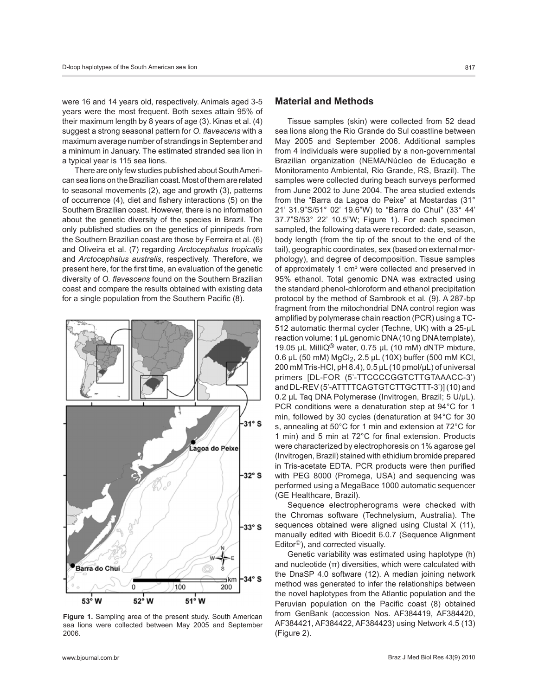were 16 and 14 years old, respectively. Animals aged 3-5 years were the most frequent. Both sexes attain 95% of their maximum length by 8 years of age (3). Kinas et al. (4) suggest a strong seasonal pattern for *O. flavescens* with a maximum average number of strandings in September and a minimum in January. The estimated stranded sea lion in a typical year is 115 sea lions.

There are only few studies published about South American sea lions on the Brazilian coast. Most of them are related to seasonal movements (2), age and growth (3), patterns of occurrence (4), diet and fishery interactions (5) on the Southern Brazilian coast. However, there is no information about the genetic diversity of the species in Brazil. The only published studies on the genetics of pinnipeds from the Southern Brazilian coast are those by Ferreira et al. (6) and Oliveira et al. (7) regarding *Arctocephalus tropicalis* and *Arctocephalus australis*, respectively. Therefore, we present here, for the first time, an evaluation of the genetic diversity of *O. flavescens* found on the Southern Brazilian coast and compare the results obtained with existing data for a single population from the Southern Pacific (8).



**Figure 1.** Sampling area of the present study. South American sea lions were collected between May 2005 and September 2006.

#### **Material and Methods**

Tissue samples (skin) were collected from 52 dead sea lions along the Rio Grande do Sul coastline between May 2005 and September 2006. Additional samples from 4 individuals were supplied by a non-governmental Brazilian organization (NEMA/Núcleo de Educação e Monitoramento Ambiental, Rio Grande, RS, Brazil). The samples were collected during beach surveys performed from June 2002 to June 2004. The area studied extends from the "Barra da Lagoa do Peixe" at Mostardas (31° 21' 31.9"S/51° 02' 19.6"W) to "Barra do Chuí" (33° 44' 37.7"S/53° 22' 10.5"W; Figure 1). For each specimen sampled, the following data were recorded: date, season, body length (from the tip of the snout to the end of the tail), geographic coordinates, sex (based on external morphology), and degree of decomposition. Tissue samples of approximately 1 cm<sup>3</sup> were collected and preserved in 95% ethanol. Total genomic DNA was extracted using the standard phenol-chloroform and ethanol precipitation protocol by the method of Sambrook et al*.* (9). A 287-bp fragment from the mitochondrial DNA control region was amplified by polymerase chain reaction (PCR) using a TC-512 automatic thermal cycler (Techne, UK) with a 25-µL reaction volume: 1 µL genomic DNA (10 ng DNA template), 19.05 µL MilliQ® water, 0.75 µL (10 mM) dNTP mixture, 0.6 µL (50 mM) MgCl<sub>2</sub>, 2.5 µL (10X) buffer (500 mM KCl, 200 mM Tris-HCl, pH 8.4), 0.5 µL (10 pmol/µL) of universal primers [DL-FOR (5'-TTCCCCGGTCTTGTAAACC-3') and DL-REV (5'-ATTTTCAGTGTCTTGCTTT-3')] (10) and 0.2 µL Taq DNA Polymerase (Invitrogen, Brazil; 5 U/µL). PCR conditions were a denaturation step at 94°C for 1 min, followed by 30 cycles (denaturation at 94°C for 30 s, annealing at 50°C for 1 min and extension at 72°C for 1 min) and 5 min at 72°C for final extension. Products were characterized by electrophoresis on 1% agarose gel (Invitrogen, Brazil) stained with ethidium bromide prepared in Tris-acetate EDTA. PCR products were then purified with PEG 8000 (Promega, USA) and sequencing was performed using a MegaBace 1000 automatic sequencer (GE Healthcare, Brazil).

Sequence electropherograms were checked with the Chromas software (Technelysium, Australia). The sequences obtained were aligned using Clustal X (11), manually edited with Bioedit 6.0.7 (Sequence Alignment  $Editor<sup>®</sup>$ ), and corrected visually.

Genetic variability was estimated using haplotype (h) and nucleotide  $(\pi)$  diversities, which were calculated with the DnaSP 4.0 software (12). A median joining network method was generated to infer the relationships between the novel haplotypes from the Atlantic population and the Peruvian population on the Pacific coast (8) obtained from GenBank (accession Nos. AF384419, AF384420, AF384421, AF384422, AF384423) using Network 4.5 (13) (Figure 2).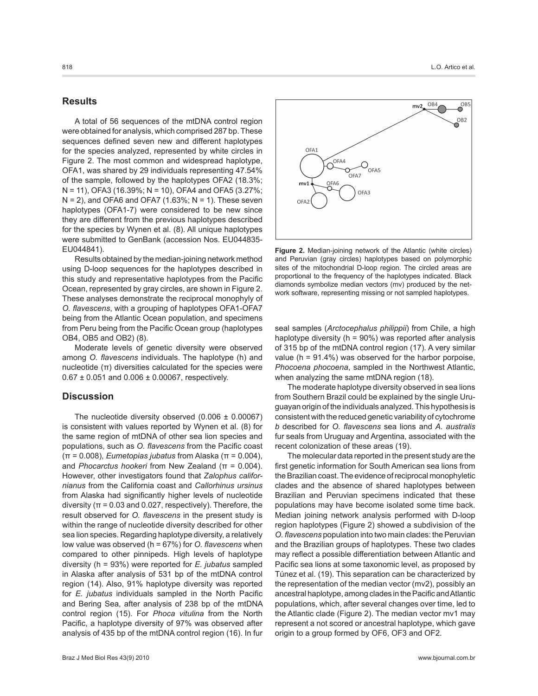#### **Results**

A total of 56 sequences of the mtDNA control region were obtained for analysis, which comprised 287 bp. These sequences defined seven new and different haplotypes for the species analyzed, represented by white circles in Figure 2. The most common and widespread haplotype, OFA1, was shared by 29 individuals representing 47.54% of the sample, followed by the haplotypes OFA2 (18.3%; N = 11), OFA3 (16.39%; N = 10), OFA4 and OFA5 (3.27%;  $N = 2$ ), and OFA6 and OFA7 (1.63%;  $N = 1$ ). These seven haplotypes (OFA1-7) were considered to be new since they are different from the previous haplotypes described for the species by Wynen et al. (8). All unique haplotypes were submitted to GenBank (accession Nos. EU044835- EU044841).

Results obtained by the median-joining network method using D-loop sequences for the haplotypes described in this study and representative haplotypes from the Pacific Ocean, represented by gray circles, are shown in Figure 2. These analyses demonstrate the reciprocal monophyly of *O. flavescens*, with a grouping of haplotypes OFA1-OFA7 being from the Atlantic Ocean population, and specimens from Peru being from the Pacific Ocean group (haplotypes OB4, OB5 and OB2) (8).

Moderate levels of genetic diversity were observed among *O. flavescens* individuals. The haplotype (h) and nucleotide  $(\pi)$  diversities calculated for the species were  $0.67 \pm 0.051$  and  $0.006 \pm 0.00067$ , respectively.

#### **Discussion**

The nucleotide diversity observed  $(0.006 \pm 0.00067)$ is consistent with values reported by Wynen et al. (8) for the same region of mtDNA of other sea lion species and populations, such as *O. flavescens* from the Pacific coast (π = 0.008), *Eumetopias jubatus* from Alaska (π = 0.004), and *Phocarctus hookeri* from New Zealand (π = 0.004). However, other investigators found that *Zalophus californianus* from the California coast and *Callorhinus ursinus* from Alaska had significantly higher levels of nucleotide diversity ( $\pi$  = 0.03 and 0.027, respectively). Therefore, the result observed for *O. flavescens* in the present study is within the range of nucleotide diversity described for other sea lion species. Regarding haplotype diversity, a relatively low value was observed (h = 67%) for *O. flavescens* when compared to other pinnipeds. High levels of haplotype diversity (h = 93%) were reported for *E. jubatus* sampled in Alaska after analysis of 531 bp of the mtDNA control region (14). Also, 91% haplotype diversity was reported for *E. jubatus* individuals sampled in the North Pacific and Bering Sea, after analysis of 238 bp of the mtDNA control region (15). For *Phoca vitulina* from the North Pacific, a haplotype diversity of 97% was observed after analysis of 435 bp of the mtDNA control region (16). In fur



**Figure 2.** Median-joining network of the Atlantic (white circles) and Peruvian (gray circles) haplotypes based on polymorphic sites of the mitochondrial D-loop region. The circled areas are proportional to the frequency of the haplotypes indicated. Black diamonds symbolize median vectors (mv) produced by the network software, representing missing or not sampled haplotypes.

seal samples (*Arctocephalus philippii*) from Chile, a high haplotype diversity (h = 90%) was reported after analysis of 315 bp of the mtDNA control region (17). A very similar value ( $h = 91.4\%$ ) was observed for the harbor porpoise, *Phocoena phocoena*, sampled in the Northwest Atlantic, when analyzing the same mtDNA region (18).

The moderate haplotype diversity observed in sea lions from Southern Brazil could be explained by the single Uruguayan origin of the individuals analyzed. This hypothesis is consistent with the reduced genetic variability of cytochrome *b* described for *O. flavescens* sea lions and *A. australis*  fur seals from Uruguay and Argentina, associated with the recent colonization of these areas (19).

The molecular data reported in the present study are the first genetic information for South American sea lions from the Brazilian coast. The evidence of reciprocal monophyletic clades and the absence of shared haplotypes between Brazilian and Peruvian specimens indicated that these populations may have become isolated some time back. Median joining network analysis performed with D-loop region haplotypes (Figure 2) showed a subdivision of the *O. flavescens* population into two main clades: the Peruvian and the Brazilian groups of haplotypes. These two clades may reflect a possible differentiation between Atlantic and Pacific sea lions at some taxonomic level, as proposed by Túnez et al. (19). This separation can be characterized by the representation of the median vector (mv2), possibly an ancestral haplotype, among clades in the Pacific and Atlantic populations, which, after several changes over time, led to the Atlantic clade (Figure 2). The median vector mv1 may represent a not scored or ancestral haplotype, which gave origin to a group formed by OF6, OF3 and OF2.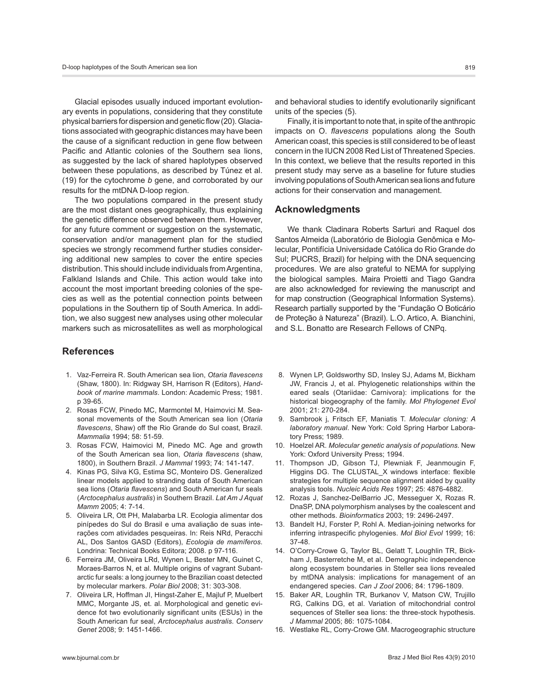Glacial episodes usually induced important evolutionary events in populations, considering that they constitute physical barriers for dispersion and genetic flow (20). Glaciations associated with geographic distances may have been the cause of a significant reduction in gene flow between Pacific and Atlantic colonies of the Southern sea lions, as suggested by the lack of shared haplotypes observed between these populations, as described by Túnez et al. (19) for the cytochrome *b* gene, and corroborated by our results for the mtDNA D-loop region.

The two populations compared in the present study are the most distant ones geographically, thus explaining the genetic difference observed between them. However, for any future comment or suggestion on the systematic, conservation and/or management plan for the studied species we strongly recommend further studies considering additional new samples to cover the entire species distribution. This should include individuals from Argentina, Falkland Islands and Chile. This action would take into account the most important breeding colonies of the species as well as the potential connection points between populations in the Southern tip of South America. In addition, we also suggest new analyses using other molecular markers such as microsatellites as well as morphological

#### **References**

- 1. Vaz-Ferreira R. South American sea lion, *Otaria flavescens* (Shaw, 1800). In: Ridgway SH, Harrison R (Editors), *Handbook of marine mammals*. London: Academic Press; 1981. p 39-65.
- 2. Rosas FCW, Pinedo MC, Marmontel M, Haimovici M. Seasonal movements of the South American sea lion (*Otaria flavescens*, Shaw) off the Rio Grande do Sul coast, Brazil. *Mammalia* 1994; 58: 51-59.
- 3. Rosas FCW, Haimovici M, Pinedo MC. Age and growth of the South American sea lion, *Otaria flavescens* (shaw, 1800), in Southern Brazil. *J Mammal* 1993; 74: 141-147.
- 4. Kinas PG, Silva KG, Estima SC, Monteiro DS. Generalized linear models applied to stranding data of South American sea lions (*Otaria flavescens*) and South American fur seals (*Arctocephalus australis*) in Southern Brazil. *Lat Am J Aquat Mamm* 2005; 4: 7-14.
- 5. Oliveira LR, Ott PH, Malabarba LR. Ecologia alimentar dos pinípedes do Sul do Brasil e uma avaliação de suas interações com atividades pesqueiras. In: Reis NRd, Peracchi AL, Dos Santos GASD (Editors), *Ecologia de mamíferos*. Londrina: Technical Books Editora; 2008. p 97-116.
- 6. Ferreira JM, Oliveira LRd, Wynen L, Bester MN, Guinet C, Moraes-Barros N, et al. Multiple origins of vagrant Subantarctic fur seals: a long journey to the Brazilian coast detected by molecular markers. *Polar Biol* 2008; 31: 303-308.
- 7. Oliveira LR, Hoffman JI, Hingst-Zaher E, Majluf P, Muelbert MMC, Morgante JS, et. al. Morphological and genetic evidence fot two evolutionarily significant units (ESUs) in the South American fur seal, *Arctocephalus australis*. *Conserv Genet* 2008; 9: 1451-1466.

Finally, it is important to note that, in spite of the anthropic impacts on O. *flavescens* populations along the South American coast, this species is still considered to be of least concern in the IUCN 2008 Red List of Threatened Species. In this context, we believe that the results reported in this present study may serve as a baseline for future studies involving populations of South American sea lions and future actions for their conservation and management.

#### **Acknowledgments**

We thank Cladinara Roberts Sarturi and Raquel dos Santos Almeida (Laboratório de Biologia Genômica e Molecular, Pontifícia Universidade Católica do Rio Grande do Sul; PUCRS, Brazil) for helping with the DNA sequencing procedures. We are also grateful to NEMA for supplying the biological samples. Maira Proietti and Tiago Gandra are also acknowledged for reviewing the manuscript and for map construction (Geographical Information Systems). Research partially supported by the "Fundação O Boticário de Proteção à Natureza" (Brazil). L.O. Artico, A. Bianchini, and S.L. Bonatto are Research Fellows of CNPq.

- 8. Wynen LP, Goldsworthy SD, Insley SJ, Adams M, Bickham JW, Francis J, et al. Phylogenetic relationships within the eared seals (Otariidae: Carnivora): implications for the historical biogeography of the family. *Mol Phylogenet Evol* 2001; 21: 270-284.
- 9. Sambrook j, Fritsch EF, Maniatis T. *Molecular cloning: A laboratory manual*. New York: Cold Spring Harbor Laboratory Press; 1989.
- 10. Hoelzel AR. *Molecular genetic analysis of populations*. New York: Oxford University Press; 1994.
- 11. Thompson JD, Gibson TJ, Plewniak F, Jeanmougin F, Higgins DG. The CLUSTAL\_X windows interface: flexible strategies for multiple sequence alignment aided by quality analysis tools. *Nucleic Acids Res* 1997; 25: 4876-4882.
- 12. Rozas J, Sanchez-DelBarrio JC, Messeguer X, Rozas R. DnaSP, DNA polymorphism analyses by the coalescent and other methods. *Bioinformatics* 2003; 19: 2496-2497.
- 13. Bandelt HJ, Forster P, Rohl A. Median-joining networks for inferring intraspecific phylogenies. *Mol Biol Evol* 1999; 16: 37-48.
- 14. O'Corry-Crowe G, Taylor BL, Gelatt T, Loughlin TR, Bickham J, Basterretche M, et al. Demographic independence along ecosystem boundaries in Steller sea lions revealed by mtDNA analysis: implications for management of an endangered species. *Can J Zool* 2006; 84: 1796-1809.
- 15. Baker AR, Loughlin TR, Burkanov V, Matson CW, Trujillo RG, Calkins DG, et al. Variation of mitochondrial control sequences of Steller sea lions: the three-stock hypothesis. *J Mammal* 2005; 86: 1075-1084.
- 16. Westlake RL, Corry-Crowe GM. Macrogeographic structure